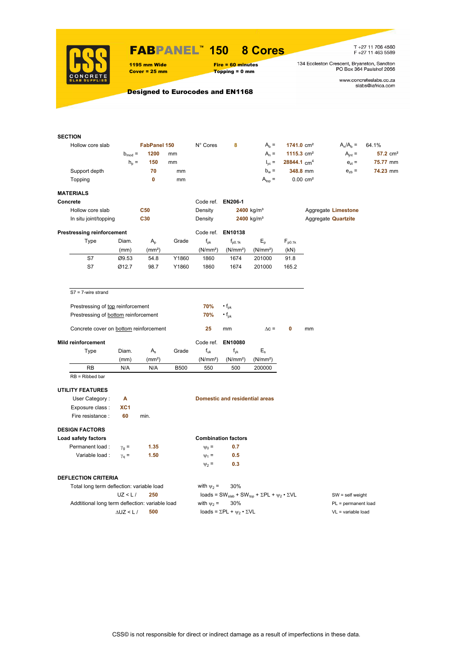

# FABPANEL**™ 150 8 Cores**

 $Topping = 0$  mm

T +27 11 706 4560<br>F +27 11 463 5589

134 Eccleston Crescent, Bryanston, Sandton<br>PO Box 364 Paulshof 2056

www.concreteslabs.co.za<br>slabs@iafrica.com

Designed to Eurocodes and EN1168

1195 mm Wide Fire = 60 minutes<br>
Cover = 25 mm Topping = 0 mm

| <b>SECTION</b>                                  |                    |                    |             |                      |                                                |                                                                                         |                           |                       |                            |                        |
|-------------------------------------------------|--------------------|--------------------|-------------|----------------------|------------------------------------------------|-----------------------------------------------------------------------------------------|---------------------------|-----------------------|----------------------------|------------------------|
| Hollow core slab                                |                    | FabPanel 150       |             | N° Cores             | 8                                              | $A_b =$                                                                                 | $1741.0 \text{ cm}^2$     |                       | $A_n/A_b =$                | 64.1%                  |
|                                                 | $b_{mod}$ =        | 1200               | mm          |                      |                                                | $A_n =$                                                                                 | 1115.3 $cm2$              |                       | $A_{int} =$                | $57.2$ cm <sup>2</sup> |
|                                                 | $h_{\rm p}$ =      | 150                | mm          |                      |                                                | $I_{\text{vc}} =$                                                                       | $28844.1$ cm <sup>4</sup> |                       | $e_{zt}$ =                 | 75.77 mm               |
| Support depth                                   |                    | 70                 | mm          |                      |                                                | $b_w =$                                                                                 |                           | 348.8 mm              | $e_{zb}$ =                 | 74.23 mm               |
| Topping                                         |                    | 0                  | mm          |                      |                                                | $A_{top} =$                                                                             |                           | $0.00 \, \text{cm}^2$ |                            |                        |
| <b>MATERIALS</b>                                |                    |                    |             |                      |                                                |                                                                                         |                           |                       |                            |                        |
| Concrete                                        |                    |                    |             | Code ref. EN206-1    |                                                |                                                                                         |                           |                       |                            |                        |
| Hollow core slab                                |                    | <b>C50</b>         |             | Density              |                                                | 2400 kg/m <sup>3</sup>                                                                  |                           |                       | Aggregate Limestone        |                        |
| In situ joint/topping                           |                    | C30                |             | Density              |                                                | 2400 kg/m <sup>3</sup>                                                                  |                           |                       | Aggregate <b>Quartzite</b> |                        |
| <b>Prestressing reinforcement</b>               |                    |                    |             |                      | Code ref. EN10138                              |                                                                                         |                           |                       |                            |                        |
| Type                                            | Diam.              | $A_{p}$            | Grade       | $f_{\rm pk}$         | $f_{p0.1k}$                                    | $E_{\rm p}$                                                                             | $F_{p0.1k}$               |                       |                            |                        |
|                                                 | (mm)               | (mm <sup>2</sup> ) |             | (N/mm <sup>2</sup> ) | (N/mm <sup>2</sup> )                           | (N/mm <sup>2</sup> )                                                                    | (kN)                      |                       |                            |                        |
| S7                                              | Ø9.53              | 54.8               | Y1860       | 1860                 | 1674                                           | 201000                                                                                  | 91.8                      |                       |                            |                        |
| S7                                              | Ø12.7              | 98.7               | Y1860       | 1860                 | 1674                                           | 201000                                                                                  | 165.2                     |                       |                            |                        |
|                                                 |                    |                    |             |                      |                                                |                                                                                         |                           |                       |                            |                        |
| $S7 = 7$ -wire strand                           |                    |                    |             |                      |                                                |                                                                                         |                           |                       |                            |                        |
|                                                 |                    |                    |             |                      |                                                |                                                                                         |                           |                       |                            |                        |
| Prestressing of top reinforcement               |                    |                    |             | 70%                  | $\cdot$ f <sub>pk</sub>                        |                                                                                         |                           |                       |                            |                        |
| Prestressing of bottom reinforcement            |                    |                    |             | 70%                  | $\cdot f_{\rm pk}$                             |                                                                                         |                           |                       |                            |                        |
| Concrete cover on bottom reinforcement          |                    |                    |             | 25                   | mm                                             | $\Delta c =$                                                                            | 0                         | mm                    |                            |                        |
| <b>Mild reinforcement</b>                       |                    |                    |             | Code ref.            | EN10080                                        |                                                                                         |                           |                       |                            |                        |
| Type                                            | Diam.              | $A_{s}$            | Grade       | $f_{uk}$             | $f_{\gamma k}$                                 | $E_{\rm s}$                                                                             |                           |                       |                            |                        |
|                                                 | (mm)               | (mm <sup>2</sup> ) |             | (N/mm <sup>2</sup> ) | (N/mm <sup>2</sup> )                           | (N/mm <sup>2</sup> )                                                                    |                           |                       |                            |                        |
| <b>RB</b>                                       | N/A                | N/A                | <b>B500</b> | 550                  | 500                                            | 200000                                                                                  |                           |                       |                            |                        |
| $RB = Ribbed bar$                               |                    |                    |             |                      |                                                |                                                                                         |                           |                       |                            |                        |
| <b>UTILITY FEATURES</b>                         |                    |                    |             |                      |                                                |                                                                                         |                           |                       |                            |                        |
| User Category:                                  | A                  |                    |             |                      | <b>Domestic and residential areas</b>          |                                                                                         |                           |                       |                            |                        |
| Exposure class :                                | XC <sub>1</sub>    |                    |             |                      |                                                |                                                                                         |                           |                       |                            |                        |
| Fire resistance :                               | 60                 | min.               |             |                      |                                                |                                                                                         |                           |                       |                            |                        |
|                                                 |                    |                    |             |                      |                                                |                                                                                         |                           |                       |                            |                        |
| <b>DESIGN FACTORS</b>                           |                    |                    |             |                      |                                                |                                                                                         |                           |                       |                            |                        |
| Load safety factors                             |                    |                    |             |                      | <b>Combination factors</b>                     |                                                                                         |                           |                       |                            |                        |
| Permanent load:                                 | $\gamma_{\rm q} =$ | 1.35               |             | $\Psi_0 =$           | 0.7                                            |                                                                                         |                           |                       |                            |                        |
| Variable load :                                 | $\gamma_{\rm q} =$ | 1.50               |             | $\Psi_1$ =           | 0.5                                            |                                                                                         |                           |                       |                            |                        |
|                                                 |                    |                    |             | $\Psi_2$ =           | 0.3                                            |                                                                                         |                           |                       |                            |                        |
| <b>DEFLECTION CRITERIA</b>                      |                    |                    |             |                      |                                                |                                                                                         |                           |                       |                            |                        |
| Total long term deflection: variable load       |                    |                    |             | with $\psi_2$ =      | 30%                                            |                                                                                         |                           |                       |                            |                        |
|                                                 | UZ < L/            | 250                |             |                      |                                                | loads = SW <sub>slab</sub> + SW <sub>top</sub> + $\Sigma$ PL + $\psi_2 \cdot \Sigma$ VL |                           |                       | $SW = self weight$         |                        |
| Addtitional long term deflection: variable load |                    |                    |             | with $\psi_2$ =      | 30%                                            |                                                                                         |                           |                       | PL = permanent load        |                        |
|                                                 | $\Delta$ UZ < L /  | 500                |             |                      | loads = $\Sigma$ PL + $\psi_2 \cdot \Sigma$ VL |                                                                                         |                           |                       | $VL = variable load$       |                        |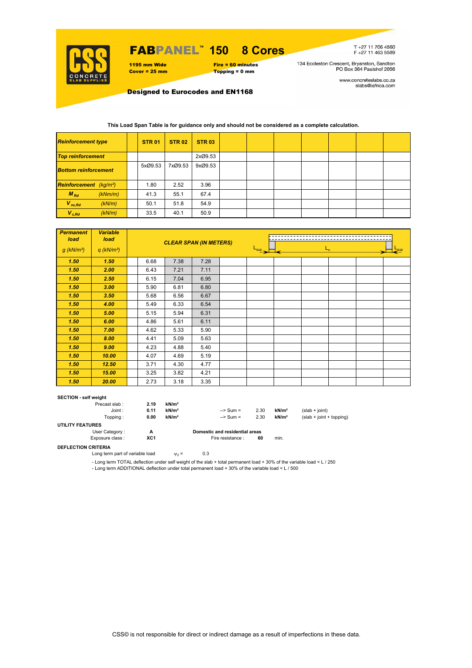

### FABPANEL**™ 150 8 Cores**

1195 mm Wide Fire = 60 minutes<br>
Cover = 25 mm Topping = 0 mm  $Topping = 0$  mm

T +27 11 706 4560<br>F +27 11 463 5589

134 Eccleston Crescent, Bryanston, Sandton<br>PO Box 364 Paulshof 2056

www.concreteslabs.co.za<br>slabs@iafrica.com

Designed to Eurocodes and EN1168

### **This Load Span Table is for guidance only and should not be considered as a complete calculation.**

| <b>Reinforcement type</b>                 |         | <b>STR 01</b> | <b>STR 02</b> | <b>STR 03</b> |  |  |  |  |
|-------------------------------------------|---------|---------------|---------------|---------------|--|--|--|--|
| <b>Top reinforcement</b>                  |         |               |               | 2xØ9.53       |  |  |  |  |
| <b>Bottom reinforcement</b>               |         | 5xØ9.53       | 7xØ9.53       | 9xØ9.53       |  |  |  |  |
| <b>Reinforcement</b> (kg/m <sup>2</sup> ) |         | 1.80          | 2.52          | 3.96          |  |  |  |  |
| $M_{Rd}$                                  | (kNm/m) | 41.3          | 55.1          | 67.4          |  |  |  |  |
| $V_{nc,Rd}$                               | (kN/m)  | 50.1          | 51.8          | 54.9          |  |  |  |  |
| $V_{c, Rd}$                               | (kN/m)  | 33.5          | 40.1          | 50.9          |  |  |  |  |

| <b>Permanent</b><br>load | <b>Variable</b><br>load  |      | <b>CLEAR SPAN (IN METERS)</b> |      |                                         |  |  |  |  |  |  |
|--------------------------|--------------------------|------|-------------------------------|------|-----------------------------------------|--|--|--|--|--|--|
| $g$ (kN/m <sup>2</sup> ) | $q$ (kN/m <sup>2</sup> ) |      |                               |      | $\frac{L_{\text{sup}}}{L_{\text{sup}}}$ |  |  |  |  |  |  |
| 1.50                     | 1.50                     | 6.68 | 7.38                          | 7.28 |                                         |  |  |  |  |  |  |
| 1.50                     | 2.00                     | 6.43 | 7.21                          | 7.11 |                                         |  |  |  |  |  |  |
| 1.50                     | 2.50                     | 6.15 | 7.04                          | 6.95 |                                         |  |  |  |  |  |  |
| 1.50                     | 3.00                     | 5.90 | 6.81                          | 6.80 |                                         |  |  |  |  |  |  |
| 1.50                     | 3.50                     | 5.68 | 6.56                          | 6.67 |                                         |  |  |  |  |  |  |
| 1.50                     | 4.00                     | 5.49 | 6.33                          | 6.54 |                                         |  |  |  |  |  |  |
| 1.50                     | 5.00                     | 5.15 | 5.94                          | 6.31 |                                         |  |  |  |  |  |  |
| 1.50                     | 6.00                     | 4.86 | 5.61                          | 6.11 |                                         |  |  |  |  |  |  |
| 1.50                     | 7.00                     | 4.62 | 5.33                          | 5.90 |                                         |  |  |  |  |  |  |
| 1.50                     | 8.00                     | 4.41 | 5.09                          | 5.63 |                                         |  |  |  |  |  |  |
| 1.50                     | 9.00                     | 4.23 | 4.88                          | 5.40 |                                         |  |  |  |  |  |  |
| 1.50                     | 10.00                    | 4.07 | 4.69                          | 5.19 |                                         |  |  |  |  |  |  |
| 1.50                     | 12.50                    | 3.71 | 4.30                          | 4.77 |                                         |  |  |  |  |  |  |
| 1.50                     | 15.00                    | 3.25 | 3.82                          | 4.21 |                                         |  |  |  |  |  |  |
| 1.50                     | 20.00                    | 2.73 | 3.18                          | 3.35 |                                         |  |  |  |  |  |  |

#### **SECTION - self weight**

|                         | Precast slab:   | 2.19 | kN/m <sup>2</sup> |                                |      |                   |                            |
|-------------------------|-----------------|------|-------------------|--------------------------------|------|-------------------|----------------------------|
|                         | Joint:          | 0.11 | kN/m <sup>2</sup> | $\Rightarrow$ Sum =            | 2.30 | kN/m <sup>2</sup> | $(slab + ioint)$           |
|                         | Topping:        | 0.00 | kN/m <sup>2</sup> | $\Rightarrow$ Sum =            | 2.30 | kN/m <sup>2</sup> | $(slab + joint + topping)$ |
| <b>UTILITY FEATURES</b> |                 |      |                   |                                |      |                   |                            |
|                         | User Category:  | А    |                   | Domestic and residential areas |      |                   |                            |
|                         | Exposure class: | XC1  |                   | Fire resistance :              | 60   | min.              |                            |

#### **DEFLECTION CRITERIA**

Long term part of variable load  $\psi_2 = 0.3$ 

- Long term TOTAL deflection under self weight of the slab + total permanent load + 30% of the variable load < L / 250

- Long term ADDITIONAL deflection under total permanent load + 30% of the variable load < L / 500